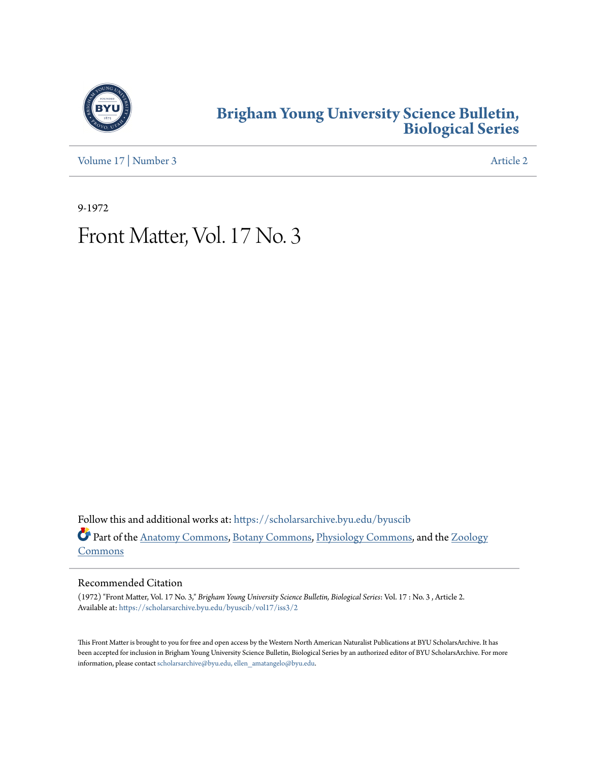

## **[Brigham Young University Science Bulletin,](https://scholarsarchive.byu.edu/byuscib?utm_source=scholarsarchive.byu.edu%2Fbyuscib%2Fvol17%2Fiss3%2F2&utm_medium=PDF&utm_campaign=PDFCoverPages) [Biological Series](https://scholarsarchive.byu.edu/byuscib?utm_source=scholarsarchive.byu.edu%2Fbyuscib%2Fvol17%2Fiss3%2F2&utm_medium=PDF&utm_campaign=PDFCoverPages)**

[Volume 17](https://scholarsarchive.byu.edu/byuscib/vol17?utm_source=scholarsarchive.byu.edu%2Fbyuscib%2Fvol17%2Fiss3%2F2&utm_medium=PDF&utm_campaign=PDFCoverPages) | [Number 3](https://scholarsarchive.byu.edu/byuscib/vol17/iss3?utm_source=scholarsarchive.byu.edu%2Fbyuscib%2Fvol17%2Fiss3%2F2&utm_medium=PDF&utm_campaign=PDFCoverPages) [Article 2](https://scholarsarchive.byu.edu/byuscib/vol17/iss3/2?utm_source=scholarsarchive.byu.edu%2Fbyuscib%2Fvol17%2Fiss3%2F2&utm_medium=PDF&utm_campaign=PDFCoverPages)

9-1972

# Front Matter, Vol. 17 No. 3

Follow this and additional works at: [https://scholarsarchive.byu.edu/byuscib](https://scholarsarchive.byu.edu/byuscib?utm_source=scholarsarchive.byu.edu%2Fbyuscib%2Fvol17%2Fiss3%2F2&utm_medium=PDF&utm_campaign=PDFCoverPages) Part of the [Anatomy Commons](http://network.bepress.com/hgg/discipline/903?utm_source=scholarsarchive.byu.edu%2Fbyuscib%2Fvol17%2Fiss3%2F2&utm_medium=PDF&utm_campaign=PDFCoverPages), [Botany Commons](http://network.bepress.com/hgg/discipline/104?utm_source=scholarsarchive.byu.edu%2Fbyuscib%2Fvol17%2Fiss3%2F2&utm_medium=PDF&utm_campaign=PDFCoverPages), [Physiology Commons,](http://network.bepress.com/hgg/discipline/69?utm_source=scholarsarchive.byu.edu%2Fbyuscib%2Fvol17%2Fiss3%2F2&utm_medium=PDF&utm_campaign=PDFCoverPages) and the [Zoology](http://network.bepress.com/hgg/discipline/81?utm_source=scholarsarchive.byu.edu%2Fbyuscib%2Fvol17%2Fiss3%2F2&utm_medium=PDF&utm_campaign=PDFCoverPages) [Commons](http://network.bepress.com/hgg/discipline/81?utm_source=scholarsarchive.byu.edu%2Fbyuscib%2Fvol17%2Fiss3%2F2&utm_medium=PDF&utm_campaign=PDFCoverPages)

### Recommended Citation

(1972) "Front Matter, Vol. 17 No. 3," *Brigham Young University Science Bulletin, Biological Series*: Vol. 17 : No. 3 , Article 2. Available at: [https://scholarsarchive.byu.edu/byuscib/vol17/iss3/2](https://scholarsarchive.byu.edu/byuscib/vol17/iss3/2?utm_source=scholarsarchive.byu.edu%2Fbyuscib%2Fvol17%2Fiss3%2F2&utm_medium=PDF&utm_campaign=PDFCoverPages)

This Front Matter is brought to you for free and open access by the Western North American Naturalist Publications at BYU ScholarsArchive. It has been accepted for inclusion in Brigham Young University Science Bulletin, Biological Series by an authorized editor of BYU ScholarsArchive. For more information, please contact [scholarsarchive@byu.edu, ellen\\_amatangelo@byu.edu](mailto:scholarsarchive@byu.edu,%20ellen_amatangelo@byu.edu).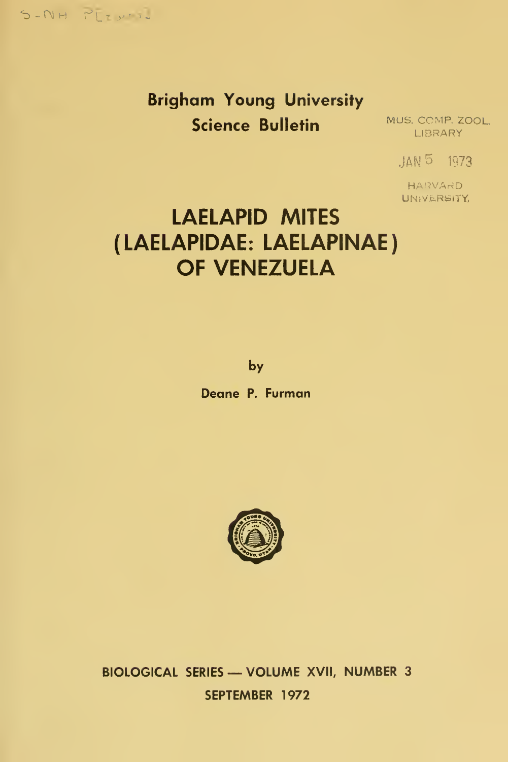$5-NH$   $PL_y$ 

Brigham Young University Science Bulletin MUS. COMP. ZOOL.

LIBRARY

JAN 5 <sup>1973</sup>

**HARVARD UNIVERSITY** 

# LAELAPID MITES (LAELAPIDAE: LAELAPINAE) OF VENEZUELA

by Deane P. Furman



BIOLOGICAL SERIES — VOLUME XVII, NUMBER <sup>3</sup> SEPTEMBER 1972